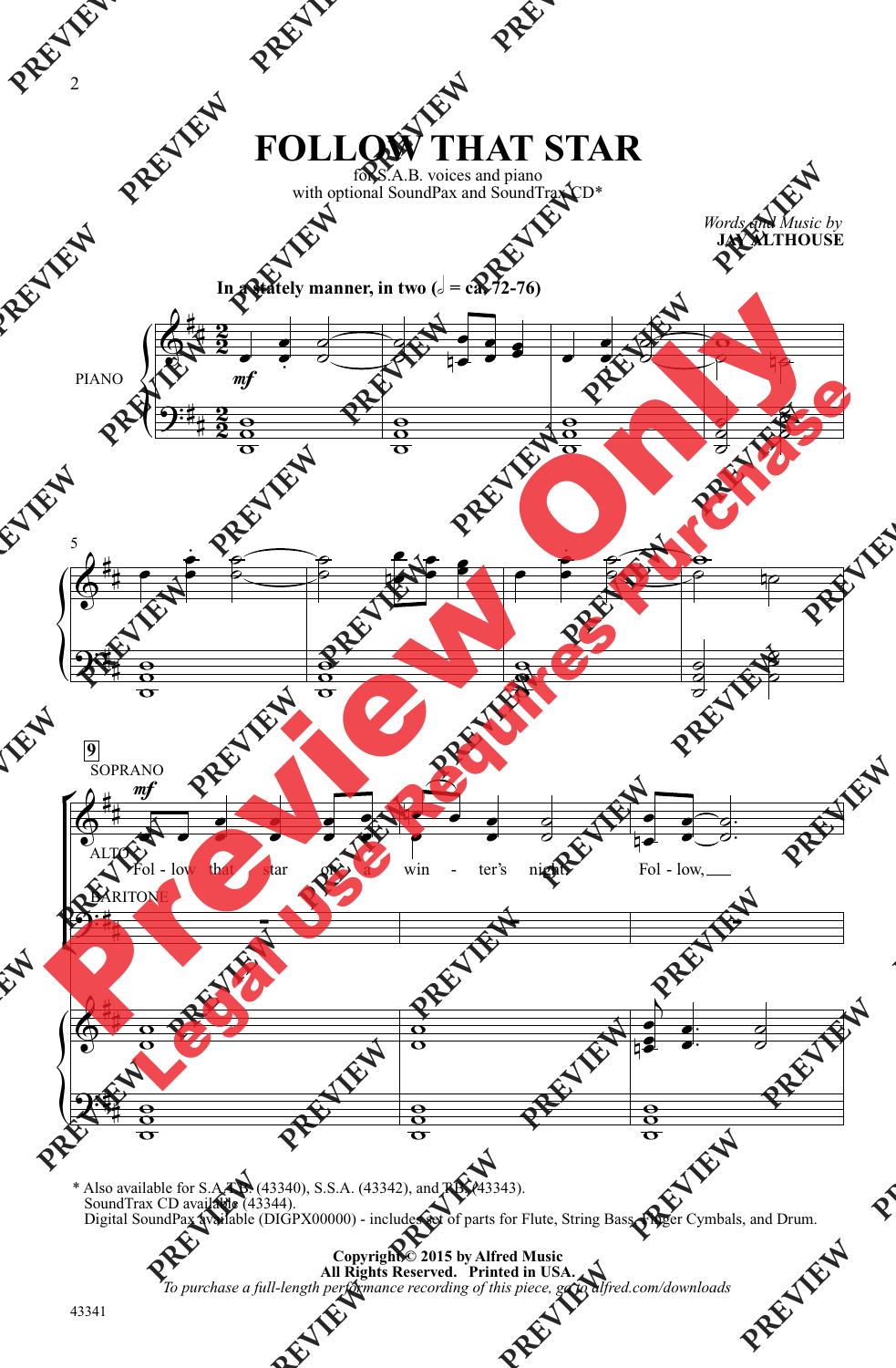## **FOLLOW THAT STAR**

for S.A.B. voices and piano with optional SoundPax and SoundTrax CD\*

> *Words and Music by* **JAY ALTHOUSE**



\* Also available for S.A.T.B. (43340), S.S.A. (43342), and T.B. (43343). SoundTrax CD available (43344). Digital SoundPax available (DIGPX00000) - includes set of parts for Flute, String Bass, Finger Cymbals, and Drum.

> **Copyright © 2015 by Alfred Music All Rights Reserved. Printed in USA.** *To purchase a full-length performance recording of this piece, go to alfred.com/downloads*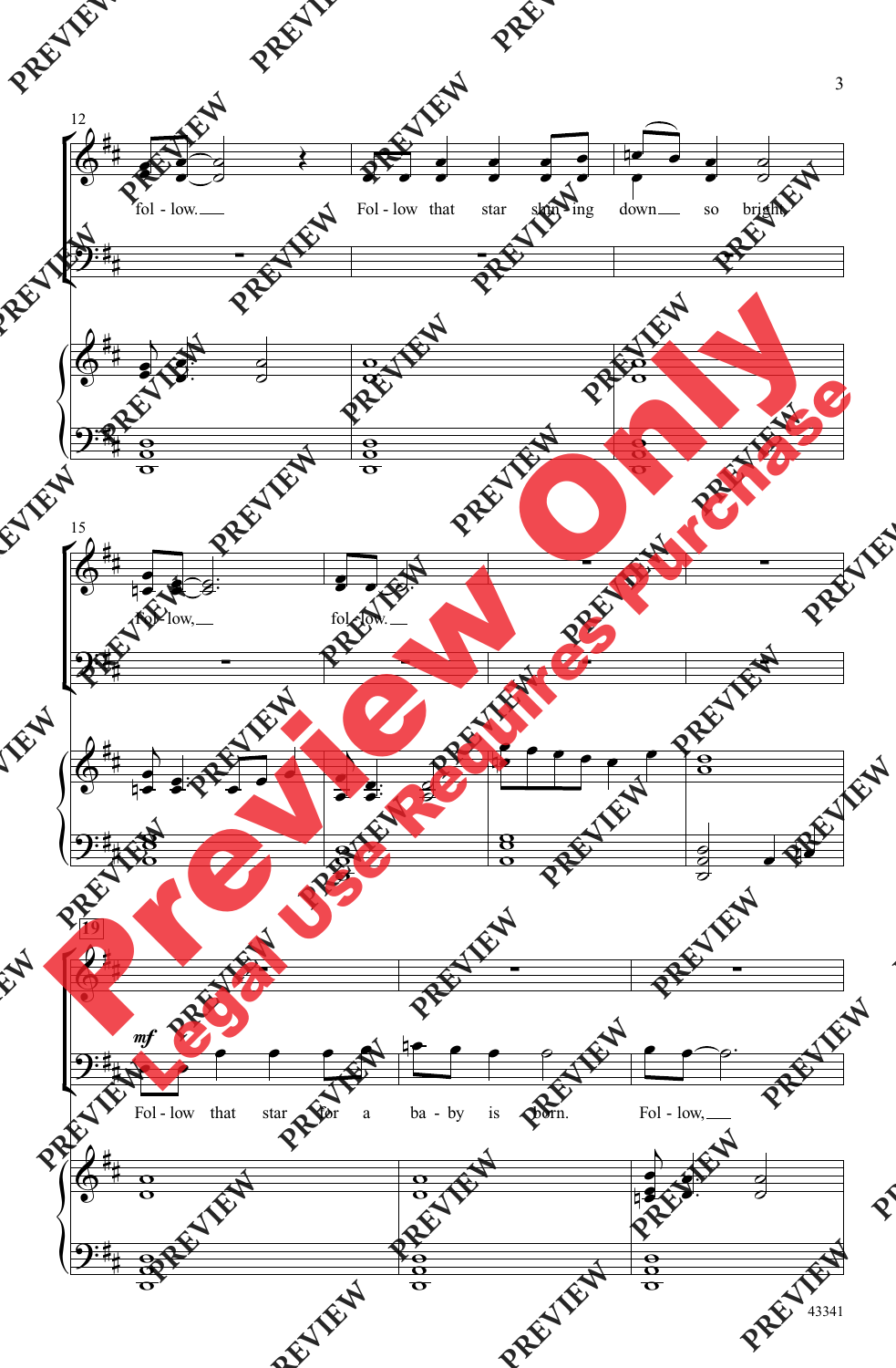

43341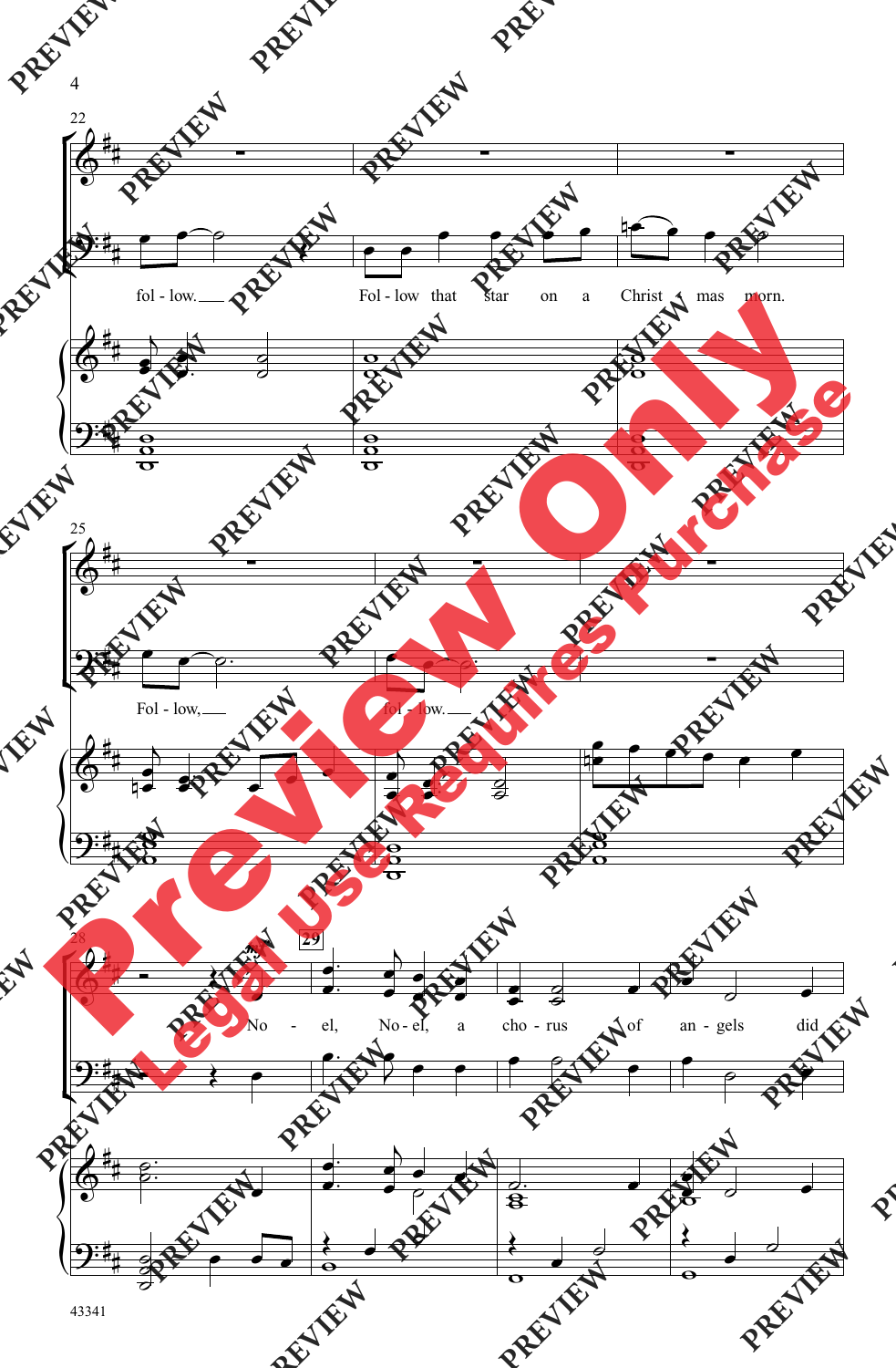

43341

4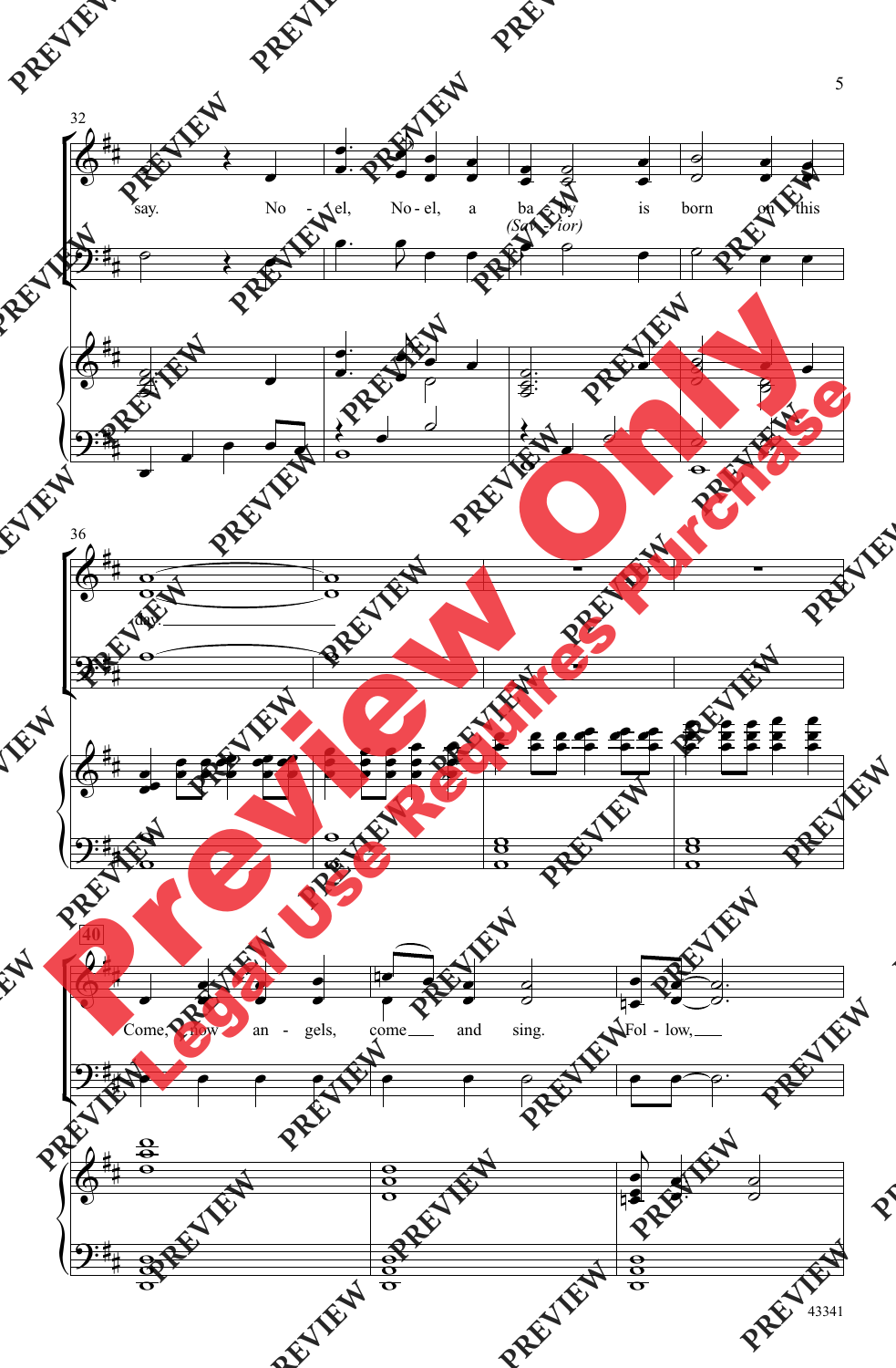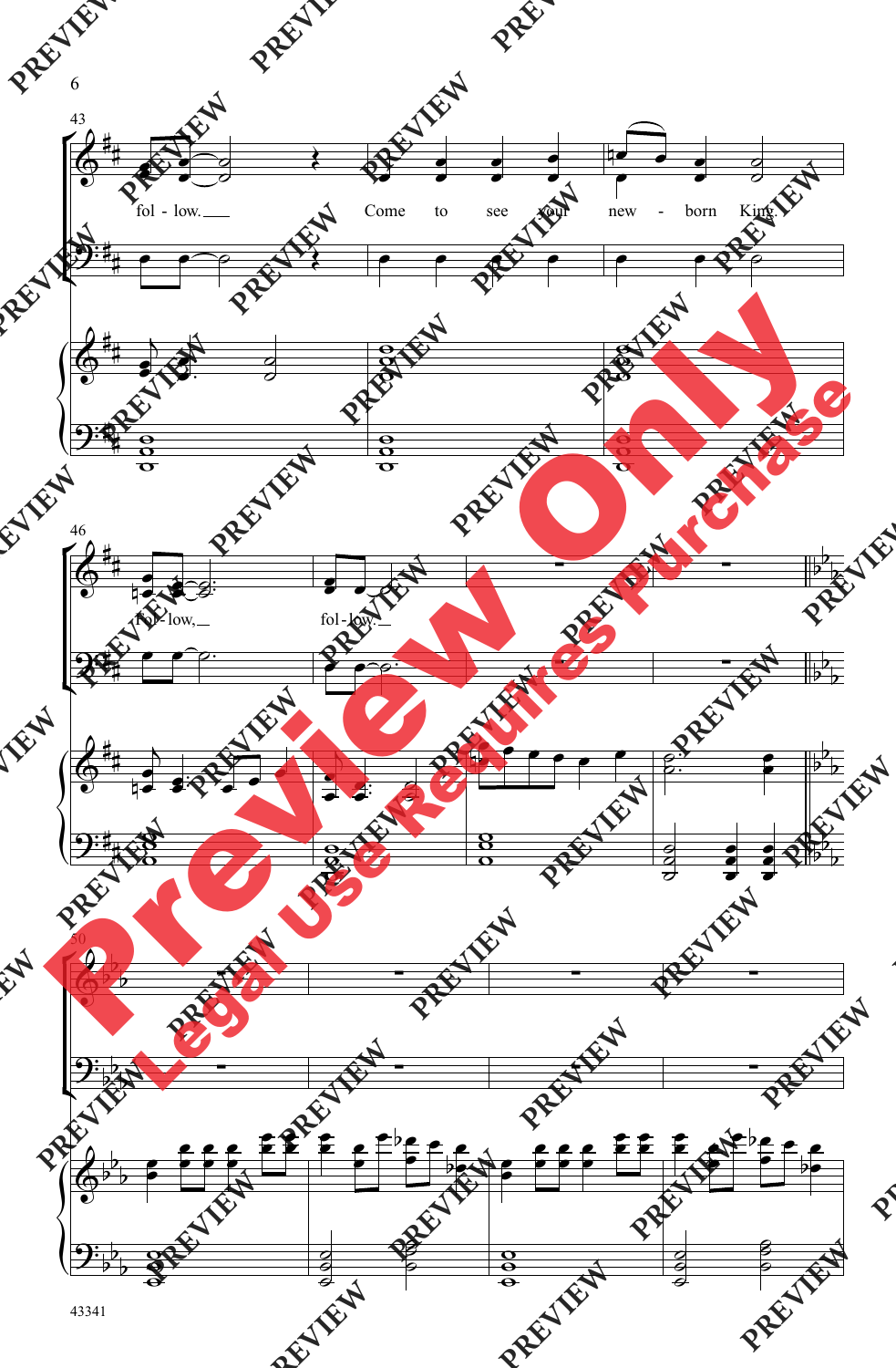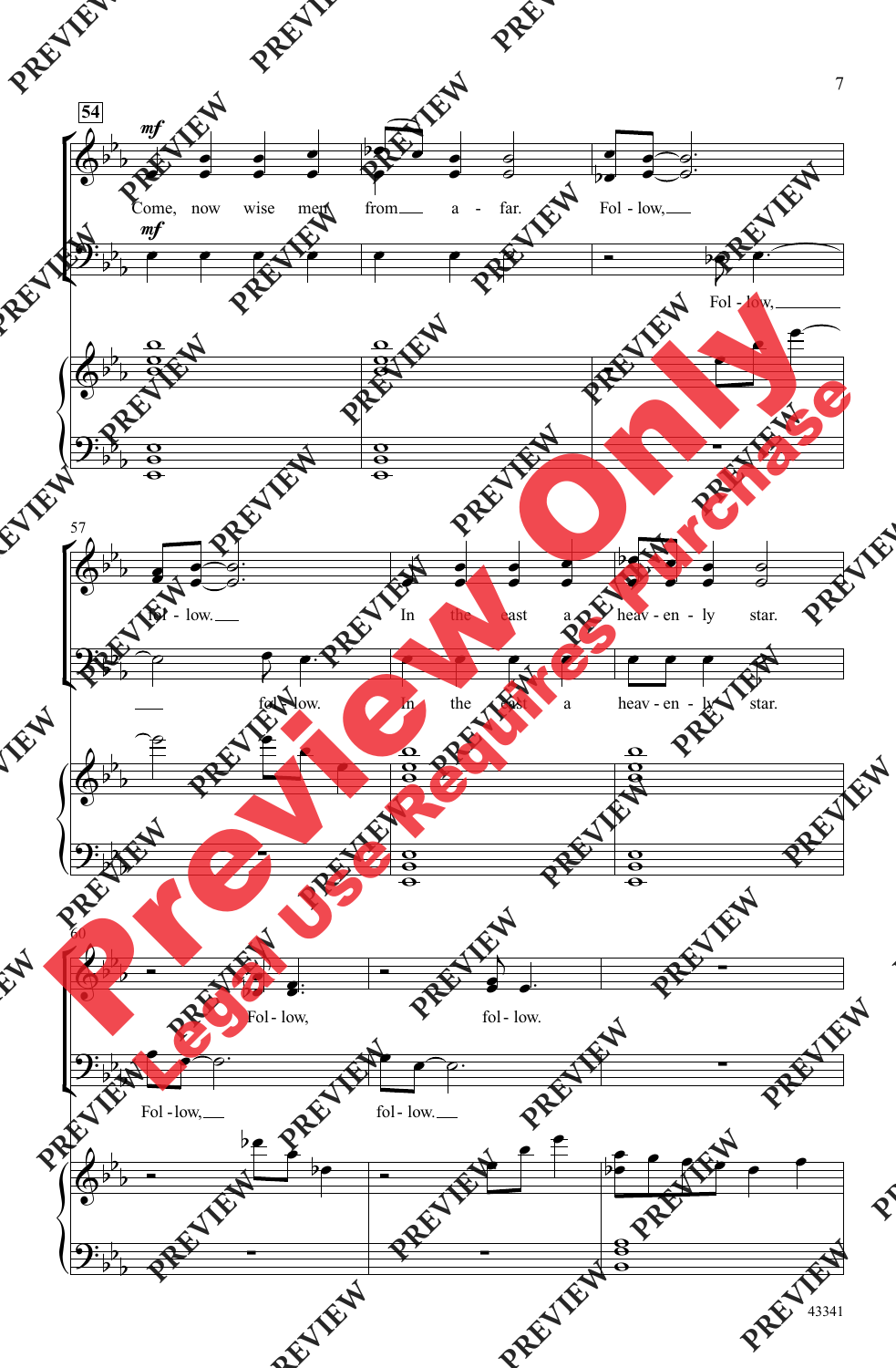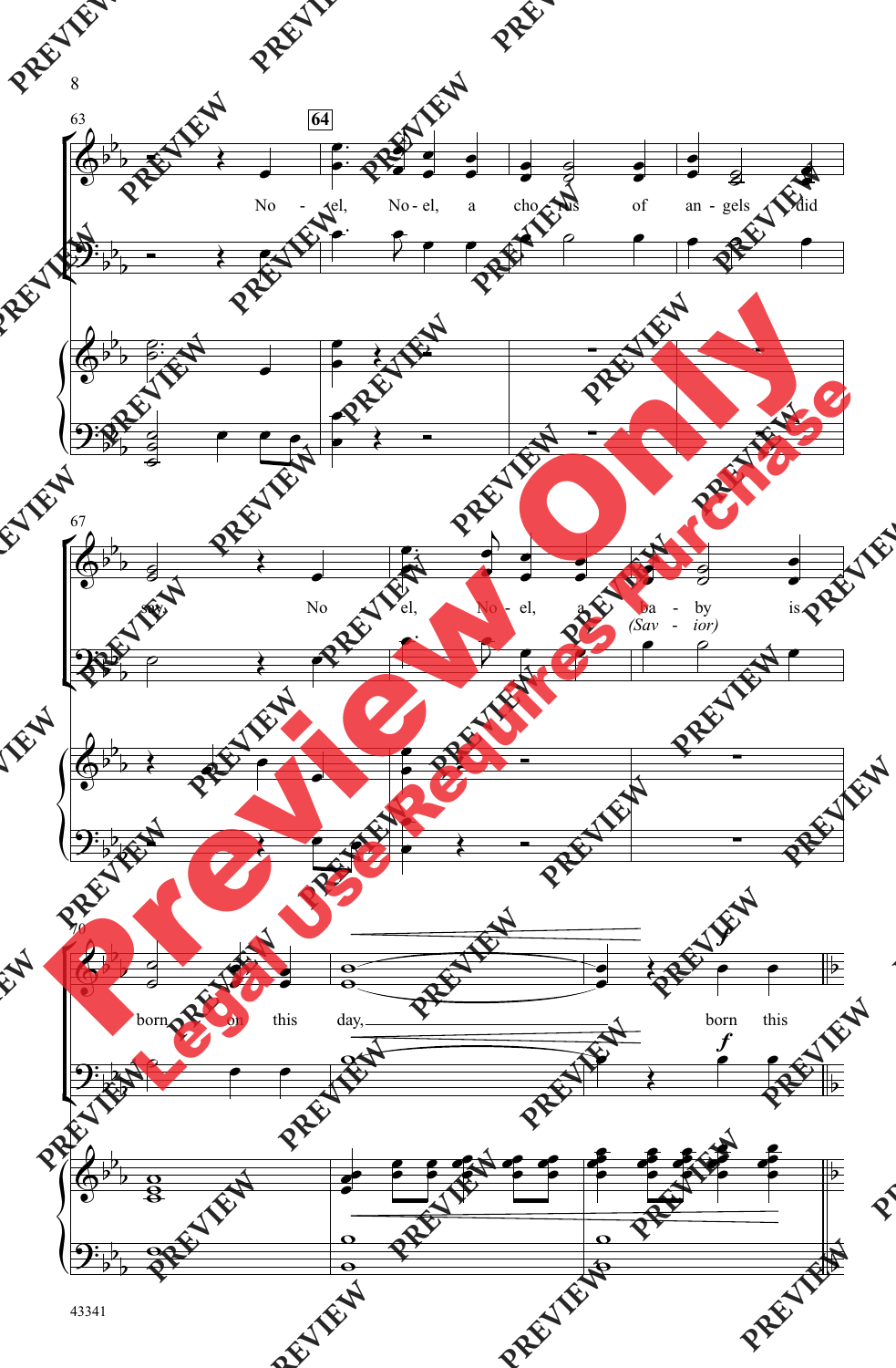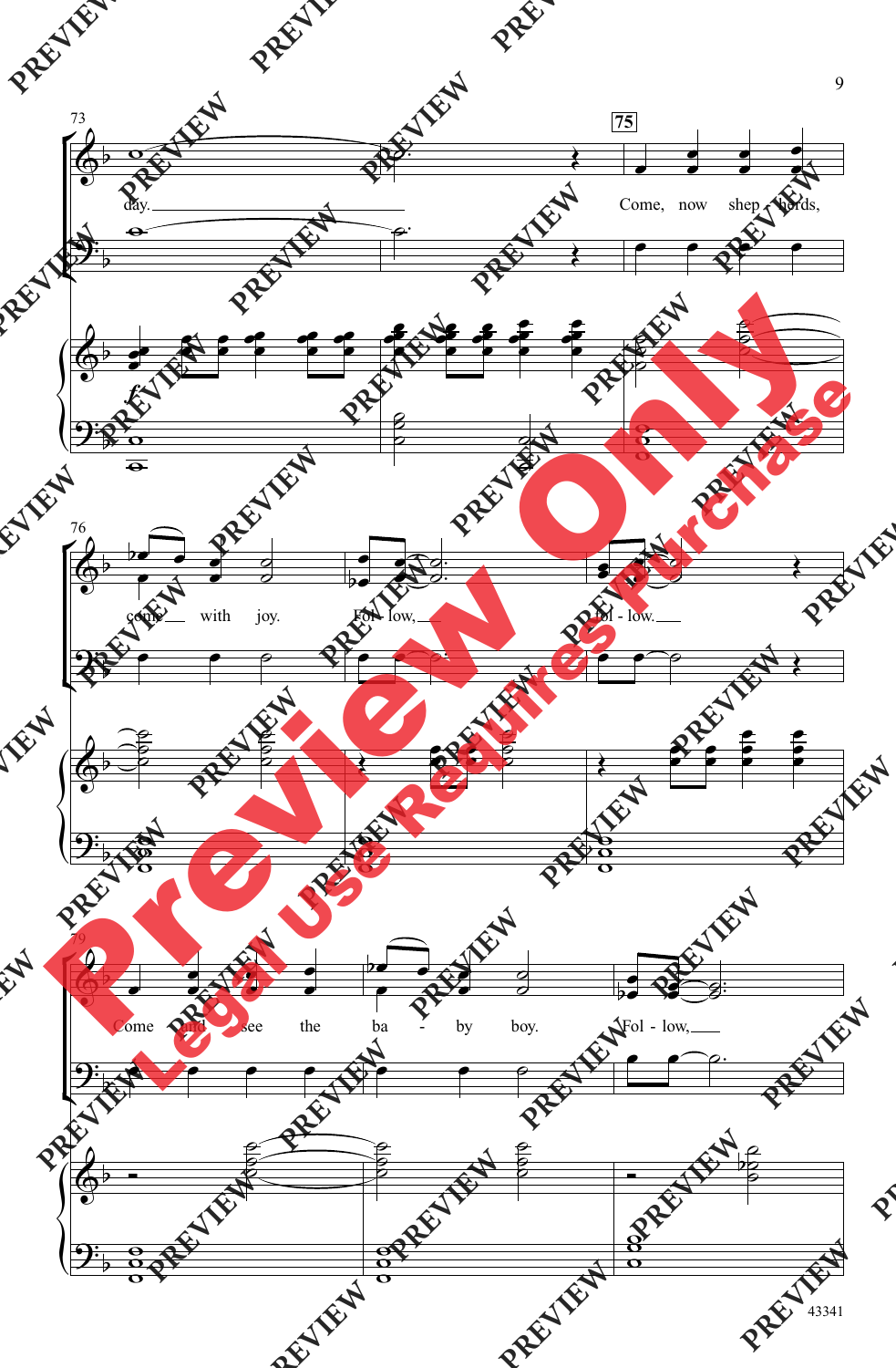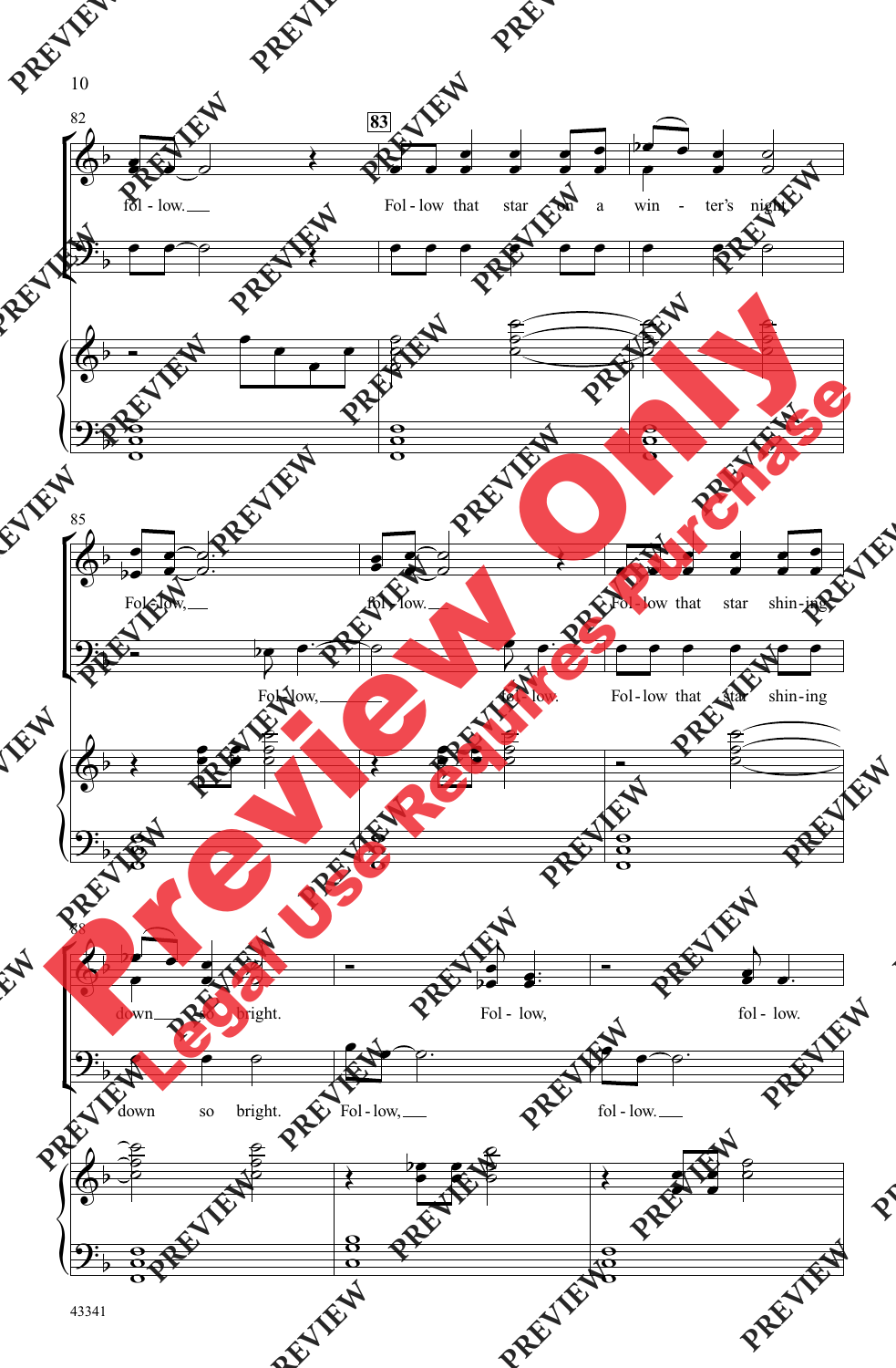